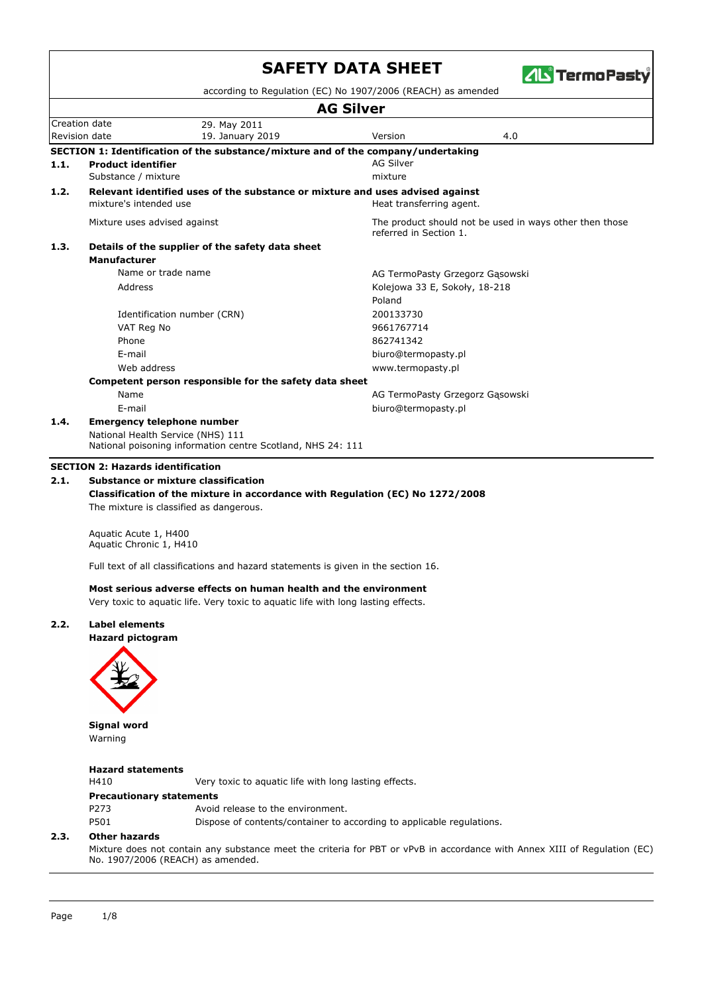|      |                                                        |                                                                                   | according to Regulation (EC) No 1907/2006 (REACH) as amended |                                                         |  |
|------|--------------------------------------------------------|-----------------------------------------------------------------------------------|--------------------------------------------------------------|---------------------------------------------------------|--|
|      |                                                        |                                                                                   | <b>AG Silver</b>                                             |                                                         |  |
|      | Creation date                                          | 29. May 2011                                                                      |                                                              |                                                         |  |
|      | Revision date                                          | 19. January 2019                                                                  | Version                                                      | 4.0                                                     |  |
|      |                                                        | SECTION 1: Identification of the substance/mixture and of the company/undertaking |                                                              |                                                         |  |
| 1.1. | <b>Product identifier</b>                              |                                                                                   | <b>AG Silver</b>                                             |                                                         |  |
|      | Substance / mixture                                    |                                                                                   | mixture                                                      |                                                         |  |
| 1.2. |                                                        | Relevant identified uses of the substance or mixture and uses advised against     |                                                              |                                                         |  |
|      | mixture's intended use                                 |                                                                                   | Heat transferring agent.                                     |                                                         |  |
|      | Mixture uses advised against                           |                                                                                   | referred in Section 1.                                       | The product should not be used in ways other then those |  |
| 1.3. |                                                        | Details of the supplier of the safety data sheet                                  |                                                              |                                                         |  |
|      | <b>Manufacturer</b>                                    |                                                                                   |                                                              |                                                         |  |
|      | Name or trade name                                     |                                                                                   | AG TermoPasty Grzegorz Gasowski                              |                                                         |  |
|      | Address                                                |                                                                                   | Kolejowa 33 E, Sokoły, 18-218                                |                                                         |  |
|      |                                                        |                                                                                   | Poland                                                       |                                                         |  |
|      | Identification number (CRN)                            |                                                                                   | 200133730                                                    |                                                         |  |
|      | VAT Reg No                                             |                                                                                   | 9661767714                                                   |                                                         |  |
|      | Phone                                                  |                                                                                   | 862741342                                                    |                                                         |  |
|      | E-mail                                                 |                                                                                   | biuro@termopasty.pl                                          |                                                         |  |
|      | Web address                                            |                                                                                   | www.termopasty.pl                                            |                                                         |  |
|      | Competent person responsible for the safety data sheet |                                                                                   |                                                              |                                                         |  |
|      | Name                                                   |                                                                                   | AG TermoPasty Grzegorz Gąsowski                              |                                                         |  |
|      | E-mail                                                 |                                                                                   | biuro@termopasty.pl                                          |                                                         |  |
| 1.4. | <b>Emergency telephone number</b>                      |                                                                                   |                                                              |                                                         |  |
|      | National Health Service (NHS) 111                      |                                                                                   |                                                              |                                                         |  |
|      |                                                        | National poisoning information centre Scotland, NHS 24: 111                       |                                                              |                                                         |  |

#### **Classification of the mixture in accordance with Regulation (EC) No 1272/2008** The mixture is classified as dangerous.

Aquatic Acute 1, H400 Aquatic Chronic 1, H410

Full text of all classifications and hazard statements is given in the section 16.

#### **Most serious adverse effects on human health and the environment**

Very toxic to aquatic life. Very toxic to aquatic life with long lasting effects.

### **2.2. Label elements**





**Signal word** Warning

### **Hazard statements**

H410 Very toxic to aquatic life with long lasting effects.

#### **Precautionary statements**

| P273 | Avoid release to the environment.                                     |
|------|-----------------------------------------------------------------------|
| P501 | Dispose of contents/container to according to applicable regulations. |

#### **2.3. Other hazards**

Mixture does not contain any substance meet the criteria for PBT or vPvB in accordance with Annex XIII of Regulation (EC) No. 1907/2006 (REACH) as amended.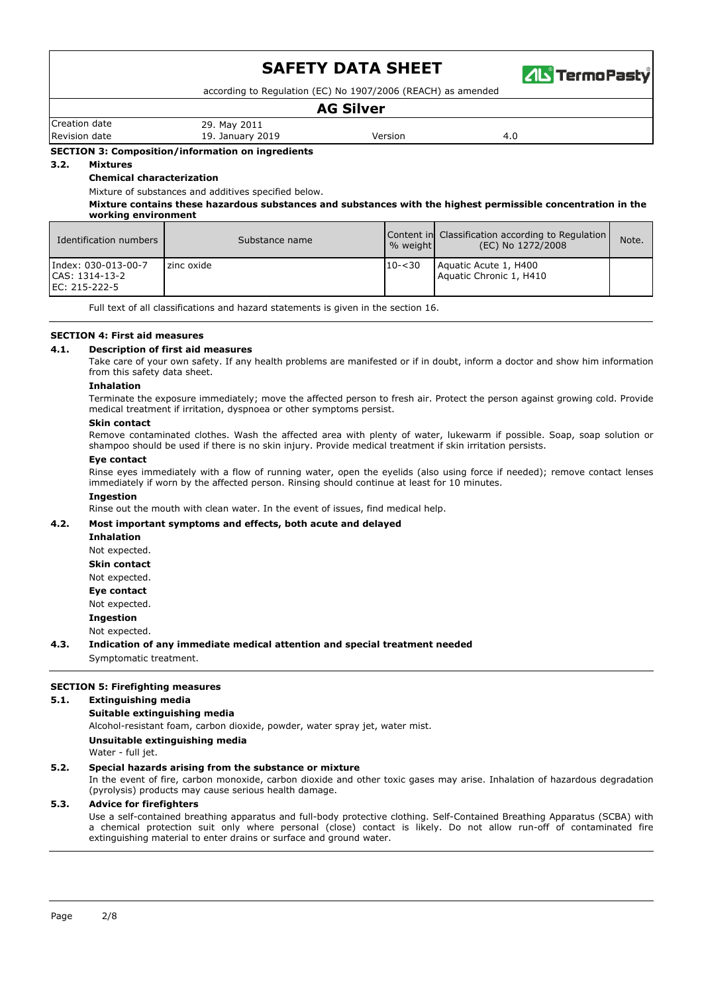

according to Regulation (EC) No 1907/2006 (REACH) as amended

### **AG Silver**

Creation date 29. May 2011 Revision date 19. January 2019 19. January 2019 Version 2019 Version 2019

**SECTION 3: Composition/information on ingredients**

#### **3.2. Mixtures**

**Chemical characterization**

Mixture of substances and additives specified below.

**Mixture contains these hazardous substances and substances with the highest permissible concentration in the working environment**

| Identification numbers                                 | Substance name | $%$ weight | Content in Classification according to Regulation<br>(EC) No 1272/2008 | Note. |
|--------------------------------------------------------|----------------|------------|------------------------------------------------------------------------|-------|
| Index: 030-013-00-7<br>CAS: 1314-13-2<br>EC: 215-222-5 | zinc oxide     | $10 - 30$  | Aquatic Acute 1, H400<br>Aquatic Chronic 1, H410                       |       |

Full text of all classifications and hazard statements is given in the section 16.

#### **SECTION 4: First aid measures**

#### **4.1. Description of first aid measures**

Take care of your own safety. If any health problems are manifested or if in doubt, inform a doctor and show him information from this safety data sheet.

#### **Inhalation**

Terminate the exposure immediately; move the affected person to fresh air. Protect the person against growing cold. Provide medical treatment if irritation, dyspnoea or other symptoms persist.

#### **Skin contact**

Remove contaminated clothes. Wash the affected area with plenty of water, lukewarm if possible. Soap, soap solution or shampoo should be used if there is no skin injury. Provide medical treatment if skin irritation persists.

#### **Eye contact**

Rinse eyes immediately with a flow of running water, open the eyelids (also using force if needed); remove contact lenses immediately if worn by the affected person. Rinsing should continue at least for 10 minutes.

#### **Ingestion**

Rinse out the mouth with clean water. In the event of issues, find medical help.

#### **4.2. Most important symptoms and effects, both acute and delayed**

**Inhalation** Not expected. **Skin contact** Not expected. **Eye contact** Not expected.

**Ingestion**

Not expected.

**4.3. Indication of any immediate medical attention and special treatment needed** Symptomatic treatment.

#### **SECTION 5: Firefighting measures**

#### **5.1. Extinguishing media**

#### **Suitable extinguishing media**

Alcohol-resistant foam, carbon dioxide, powder, water spray jet, water mist.

#### **Unsuitable extinguishing media**

Water - full jet.

#### **5.2. Special hazards arising from the substance or mixture**

In the event of fire, carbon monoxide, carbon dioxide and other toxic gases may arise. Inhalation of hazardous degradation (pyrolysis) products may cause serious health damage.

#### **5.3. Advice for firefighters**

Use a self-contained breathing apparatus and full-body protective clothing. Self-Contained Breathing Apparatus (SCBA) with a chemical protection suit only where personal (close) contact is likely. Do not allow run-off of contaminated fire extinguishing material to enter drains or surface and ground water.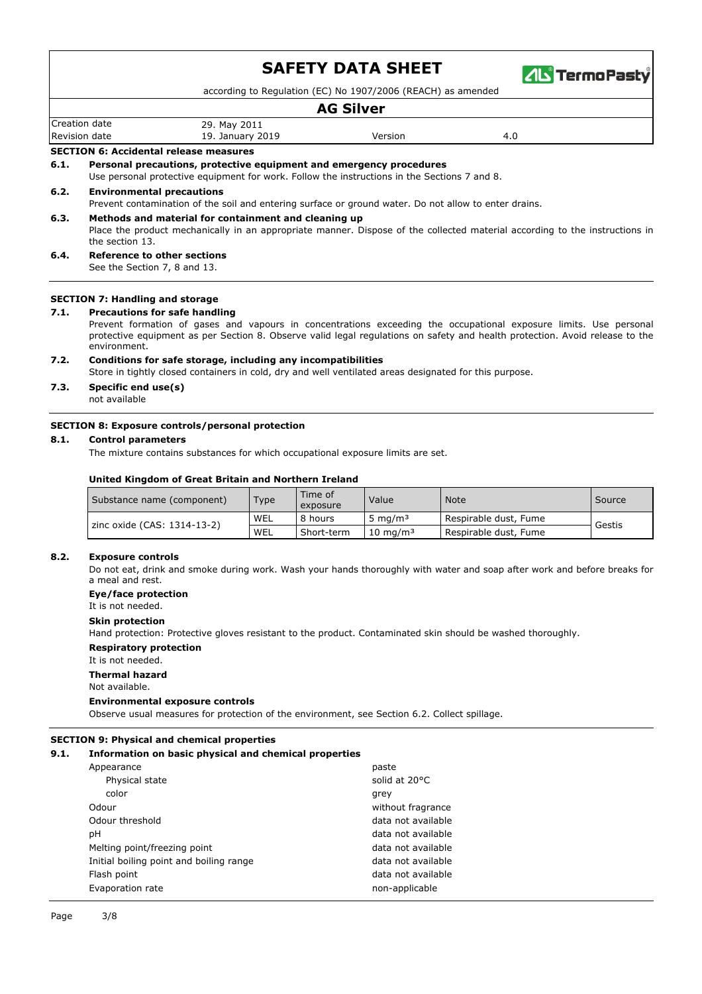

according to Regulation (EC) No 1907/2006 (REACH) as amended

### **AG Silver**

Creation date 29. May 2011 Revision date 19. January 2019 19. January 2019 Version 2019 Version 2019

**SECTION 6: Accidental release measures**

#### **6.1. Personal precautions, protective equipment and emergency procedures**

Use personal protective equipment for work. Follow the instructions in the Sections 7 and 8.

#### **6.2. Environmental precautions**

Prevent contamination of the soil and entering surface or ground water. Do not allow to enter drains.

#### **6.3. Methods and material for containment and cleaning up**

Place the product mechanically in an appropriate manner. Dispose of the collected material according to the instructions in the section 13.

#### **6.4. Reference to other sections**

See the Section 7, 8 and 13.

#### **SECTION 7: Handling and storage**

#### **7.1. Precautions for safe handling**

Prevent formation of gases and vapours in concentrations exceeding the occupational exposure limits. Use personal protective equipment as per Section 8. Observe valid legal regulations on safety and health protection. Avoid release to the environment.

#### **7.2. Conditions for safe storage, including any incompatibilities**

Store in tightly closed containers in cold, dry and well ventilated areas designated for this purpose.

# **7.3. Specific end use(s)**

not available

#### **SECTION 8: Exposure controls/personal protection**

#### **8.1. Control parameters**

The mixture contains substances for which occupational exposure limits are set.

#### **United Kingdom of Great Britain and Northern Ireland**

| (Substance name (component)   | Type       | Time of<br>exposure | Value               | <b>Note</b>           | Source |
|-------------------------------|------------|---------------------|---------------------|-----------------------|--------|
|                               | WEL        | 8 hours             | ma/m <sup>3</sup> د | Respirable dust, Fume |        |
| 1 zinc oxide (CAS: 1314-13-2) | <b>WEL</b> | Short-term          | $10 \text{ ma/m}^3$ | Respirable dust, Fume | Gestis |

#### **8.2. Exposure controls**

Do not eat, drink and smoke during work. Wash your hands thoroughly with water and soap after work and before breaks for a meal and rest.

#### **Eye/face protection**

It is not needed.

#### **Skin protection**

Hand protection: Protective gloves resistant to the product. Contaminated skin should be washed thoroughly.

#### **Respiratory protection**

It is not needed.

#### **Thermal hazard**

Not available.

#### **Environmental exposure controls**

Observe usual measures for protection of the environment, see Section 6.2. Collect spillage.

#### **SECTION 9: Physical and chemical properties**

#### **9.1. Information on basic physical and chemical properties**

| Appearance                              | paste              |
|-----------------------------------------|--------------------|
| Physical state                          | solid at 20°C      |
| color                                   | grey               |
| Odour                                   | without fragrance  |
| Odour threshold                         | data not available |
| рH                                      | data not available |
| Melting point/freezing point            | data not available |
| Initial boiling point and boiling range | data not available |
| Flash point                             | data not available |
| Evaporation rate                        | non-applicable     |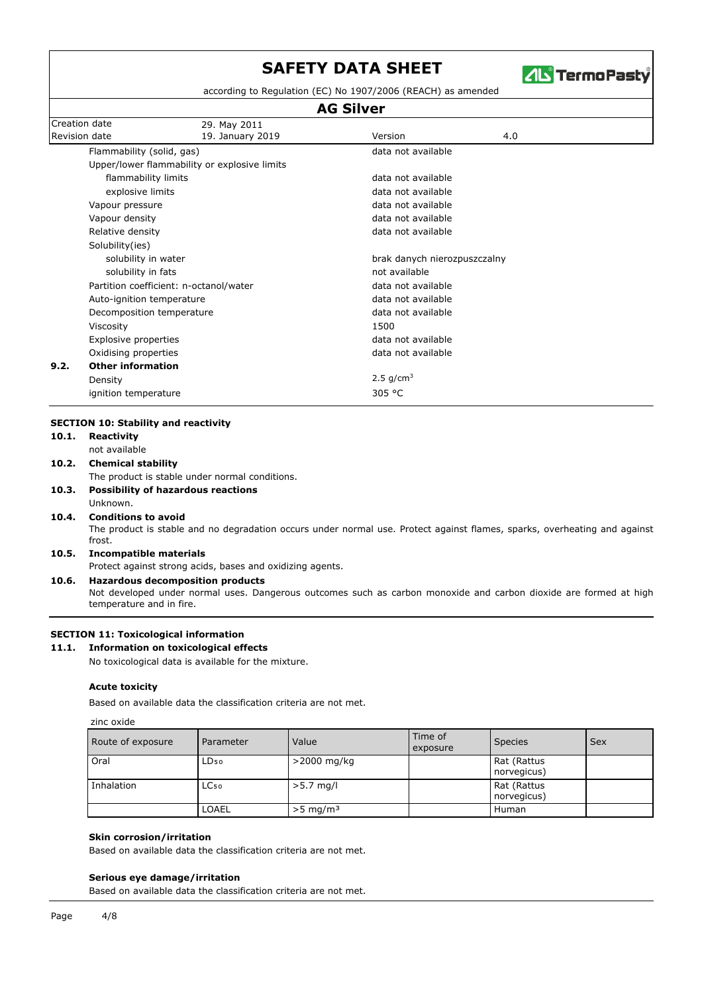

according to Regulation (EC) No 1907/2006 (REACH) as amended

# **AG Silver**

| <b>Creation date</b> |                                        | 29. May 2011                                 |                                          |     |  |
|----------------------|----------------------------------------|----------------------------------------------|------------------------------------------|-----|--|
| Revision date        |                                        | 19. January 2019                             | Version                                  | 4.0 |  |
|                      | Flammability (solid, gas)              |                                              | data not available                       |     |  |
|                      |                                        | Upper/lower flammability or explosive limits |                                          |     |  |
|                      | flammability limits                    |                                              | data not available                       |     |  |
|                      | explosive limits                       |                                              | data not available                       |     |  |
|                      | Vapour pressure                        |                                              | data not available<br>data not available |     |  |
|                      | Vapour density                         |                                              |                                          |     |  |
|                      | Relative density                       |                                              | data not available                       |     |  |
|                      | Solubility(ies)                        |                                              |                                          |     |  |
|                      | solubility in water                    |                                              | brak danych nierozpuszczalny             |     |  |
|                      | solubility in fats                     |                                              | not available                            |     |  |
|                      | Partition coefficient: n-octanol/water |                                              | data not available                       |     |  |
|                      | Auto-ignition temperature              |                                              | data not available<br>data not available |     |  |
|                      | Decomposition temperature              |                                              |                                          |     |  |
|                      | Viscosity                              |                                              | 1500                                     |     |  |
|                      | Explosive properties                   |                                              | data not available                       |     |  |
|                      | Oxidising properties                   |                                              | data not available                       |     |  |
| 9.2.                 | <b>Other information</b>               |                                              |                                          |     |  |
|                      | Density                                |                                              | 2.5 $g/cm^3$                             |     |  |
|                      | ignition temperature                   |                                              | 305 °C                                   |     |  |
|                      |                                        |                                              |                                          |     |  |

# **SECTION 10: Stability and reactivity**

|       | <b>SECTION ID. SLADING AND REACTIVILY</b>                                                                                                     |
|-------|-----------------------------------------------------------------------------------------------------------------------------------------------|
| 10.1. | Reactivity                                                                                                                                    |
|       | not available                                                                                                                                 |
| 10.2. | <b>Chemical stability</b>                                                                                                                     |
|       | The product is stable under normal conditions.                                                                                                |
| 10.3. | <b>Possibility of hazardous reactions</b>                                                                                                     |
|       | Unknown.                                                                                                                                      |
| 10.4. | <b>Conditions to avoid</b>                                                                                                                    |
|       | The product is stable and no degradation occurs under normal use. Protect against flames, sparks, overheating and against<br>frost.           |
| 10.5. | Incompatible materials                                                                                                                        |
|       | Protect against strong acids, bases and oxidizing agents.                                                                                     |
| 10.6. | <b>Hazardous decomposition products</b>                                                                                                       |
|       | Not developed under normal uses. Dangerous outcomes such as carbon monoxide and carbon dioxide are formed at high<br>temperature and in fire. |

#### **SECTION 11: Toxicological information**

#### **11.1. Information on toxicological effects**

No toxicological data is available for the mixture.

#### **Acute toxicity**

Based on available data the classification criteria are not met.

#### zinc oxide

| Route of exposure | Parameter        | Value                  | Time of<br>exposure | <b>Species</b>             | Sex |
|-------------------|------------------|------------------------|---------------------|----------------------------|-----|
| Oral              | LD <sub>50</sub> | >2000 mg/kg            |                     | Rat (Rattus<br>norvegicus) |     |
| Inhalation        | LC <sub>50</sub> | $>5.7$ mg/l            |                     | Rat (Rattus<br>norvegicus) |     |
|                   | LOAEL            | $>5$ mg/m <sup>3</sup> |                     | Human                      |     |

#### **Skin corrosion/irritation**

Based on available data the classification criteria are not met.

#### **Serious eye damage/irritation**

Based on available data the classification criteria are not met.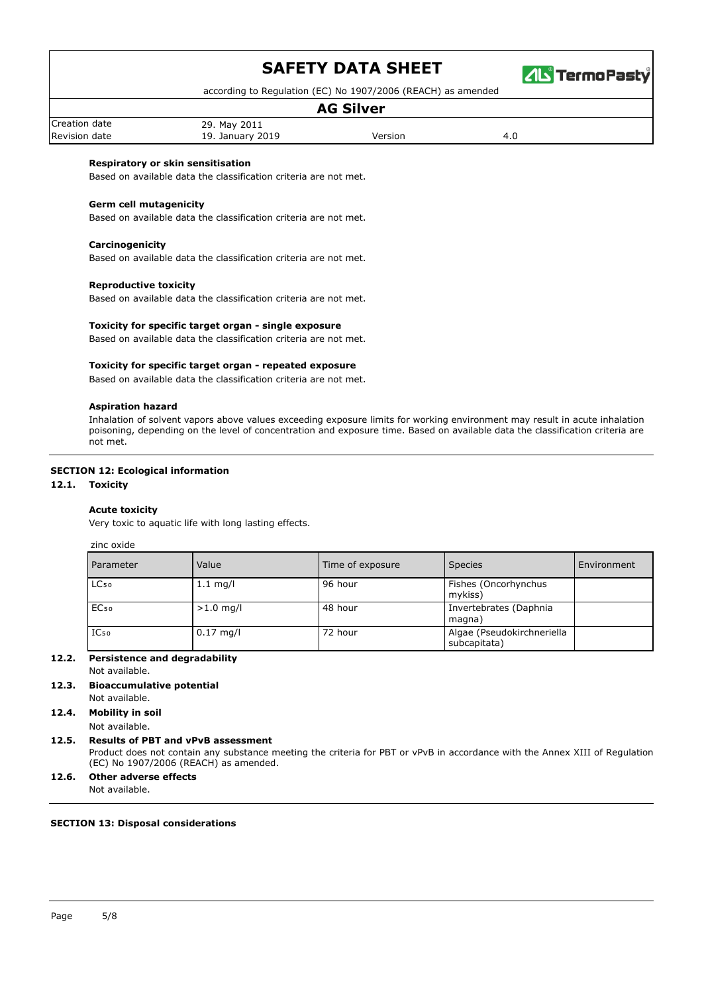

according to Regulation (EC) No 1907/2006 (REACH) as amended

### **AG Silver**

Creation date 29. May 2011 Revision date **19. January 2019** Version **Version** 4.0

# **Respiratory or skin sensitisation**

Based on available data the classification criteria are not met.

**Germ cell mutagenicity** Based on available data the classification criteria are not met.

#### **Carcinogenicity**

Based on available data the classification criteria are not met.

#### **Reproductive toxicity**

Based on available data the classification criteria are not met.

#### **Toxicity for specific target organ - single exposure**

Based on available data the classification criteria are not met.

#### **Toxicity for specific target organ - repeated exposure**

Based on available data the classification criteria are not met.

#### **Aspiration hazard**

Inhalation of solvent vapors above values exceeding exposure limits for working environment may result in acute inhalation poisoning, depending on the level of concentration and exposure time. Based on available data the classification criteria are not met.

#### **SECTION 12: Ecological information**

#### **12.1. Toxicity**

#### **Acute toxicity**

Very toxic to aquatic life with long lasting effects.

zinc oxide

| Parameter        | Value       | Time of exposure | <b>Species</b>                             | Environment |
|------------------|-------------|------------------|--------------------------------------------|-------------|
| LC <sub>50</sub> | $1.1$ mg/l  | 96 hour          | Fishes (Oncorhynchus<br>mykiss)            |             |
| EC <sub>50</sub> | $>1.0$ mg/l | 48 hour          | Invertebrates (Daphnia<br>magna)           |             |
| $IC_{50}$        | $0.17$ mg/l | 72 hour          | Algae (Pseudokirchneriella<br>subcapitata) |             |

#### **12.2. Persistence and degradability**

Not available.

#### **12.3. Bioaccumulative potential**

#### Not available. **12.4. Mobility in soil**

Not available.

#### **12.5. Results of PBT and vPvB assessment**

Product does not contain any substance meeting the criteria for PBT or vPvB in accordance with the Annex XIII of Regulation (EC) No 1907/2006 (REACH) as amended.

### **12.6. Other adverse effects**

Not available.

#### **SECTION 13: Disposal considerations**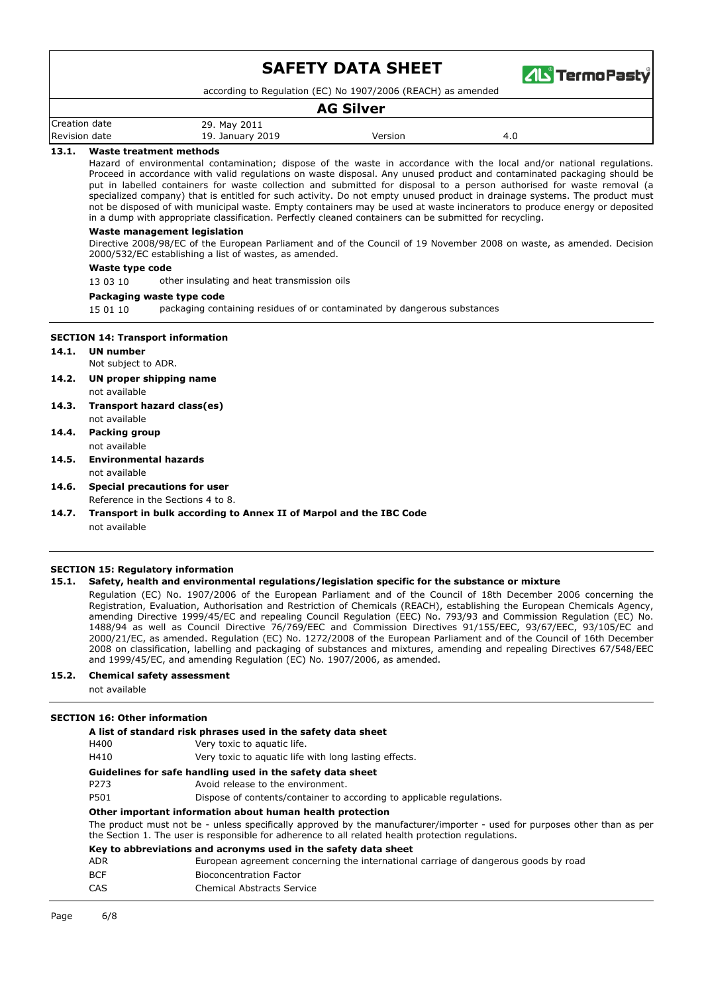

according to Regulation (EC) No 1907/2006 (REACH) as amended

### **AG Silver**

| Creation.<br>date     | 201 <sub>1</sub><br>29. Mc<br>May          |        |                       |
|-----------------------|--------------------------------------------|--------|-----------------------|
| Revision<br>date<br>. | 2019<br>u<br>January<br>∸<br>$\sim$ $\sim$ | ersior | $\overline{a}$<br>᠇.∪ |

#### **13.1. Waste treatment methods**

Hazard of environmental contamination; dispose of the waste in accordance with the local and/or national regulations. Proceed in accordance with valid regulations on waste disposal. Any unused product and contaminated packaging should be put in labelled containers for waste collection and submitted for disposal to a person authorised for waste removal (a specialized company) that is entitled for such activity. Do not empty unused product in drainage systems. The product must not be disposed of with municipal waste. Empty containers may be used at waste incinerators to produce energy or deposited in a dump with appropriate classification. Perfectly cleaned containers can be submitted for recycling.

#### **Waste management legislation**

Directive 2008/98/EC of the European Parliament and of the Council of 19 November 2008 on waste, as amended. Decision 2000/532/EC establishing a list of wastes, as amended.

#### **Waste type code**

13 03 10 other insulating and heat transmission oils

#### **Packaging waste type code**

15 01 10 packaging containing residues of or contaminated by dangerous substances

#### **SECTION 14: Transport information**

- **14.1. UN number**
	- Not subject to ADR.
- **14.2. UN proper shipping name** not available
- **14.3. Transport hazard class(es)** not available
- **14.4. Packing group**
	- not available
- **14.5. Environmental hazards** not available
- **14.6. Special precautions for user** Reference in the Sections 4 to 8.
- **14.7. Transport in bulk according to Annex II of Marpol and the IBC Code** not available

#### **SECTION 15: Regulatory information**

#### **15.1. Safety, health and environmental regulations/legislation specific for the substance or mixture**

Regulation (EC) No. 1907/2006 of the European Parliament and of the Council of 18th December 2006 concerning the Registration, Evaluation, Authorisation and Restriction of Chemicals (REACH), establishing the European Chemicals Agency, amending Directive 1999/45/EC and repealing Council Regulation (EEC) No. 793/93 and Commission Regulation (EC) No. 1488/94 as well as Council Directive 76/769/EEC and Commission Directives 91/155/EEC, 93/67/EEC, 93/105/EC and 2000/21/EC, as amended. Regulation (EC) No. 1272/2008 of the European Parliament and of the Council of 16th December 2008 on classification, labelling and packaging of substances and mixtures, amending and repealing Directives 67/548/EEC and 1999/45/EC, and amending Regulation (EC) No. 1907/2006, as amended.

#### **15.2. Chemical safety assessment**

not available

#### **SECTION 16: Other information**

| H400       | A list of standard risk phrases used in the safety data sheet<br>Very toxic to aquatic life.                                                                                                                                    |
|------------|---------------------------------------------------------------------------------------------------------------------------------------------------------------------------------------------------------------------------------|
| H410       | Very toxic to aguatic life with long lasting effects.                                                                                                                                                                           |
|            | Guidelines for safe handling used in the safety data sheet                                                                                                                                                                      |
| P273       | Avoid release to the environment.                                                                                                                                                                                               |
| P501       | Dispose of contents/container to according to applicable regulations.                                                                                                                                                           |
|            | Other important information about human health protection                                                                                                                                                                       |
|            | The product must not be - unless specifically approved by the manufacturer/importer - used for purposes other than as per<br>the Section 1. The user is responsible for adherence to all related health protection regulations. |
|            | Key to abbreviations and acronyms used in the safety data sheet                                                                                                                                                                 |
| <b>ADR</b> | European agreement concerning the international carriage of dangerous goods by road                                                                                                                                             |
| <b>BCF</b> | <b>Bioconcentration Factor</b>                                                                                                                                                                                                  |
| CAS        | Chemical Abstracts Service                                                                                                                                                                                                      |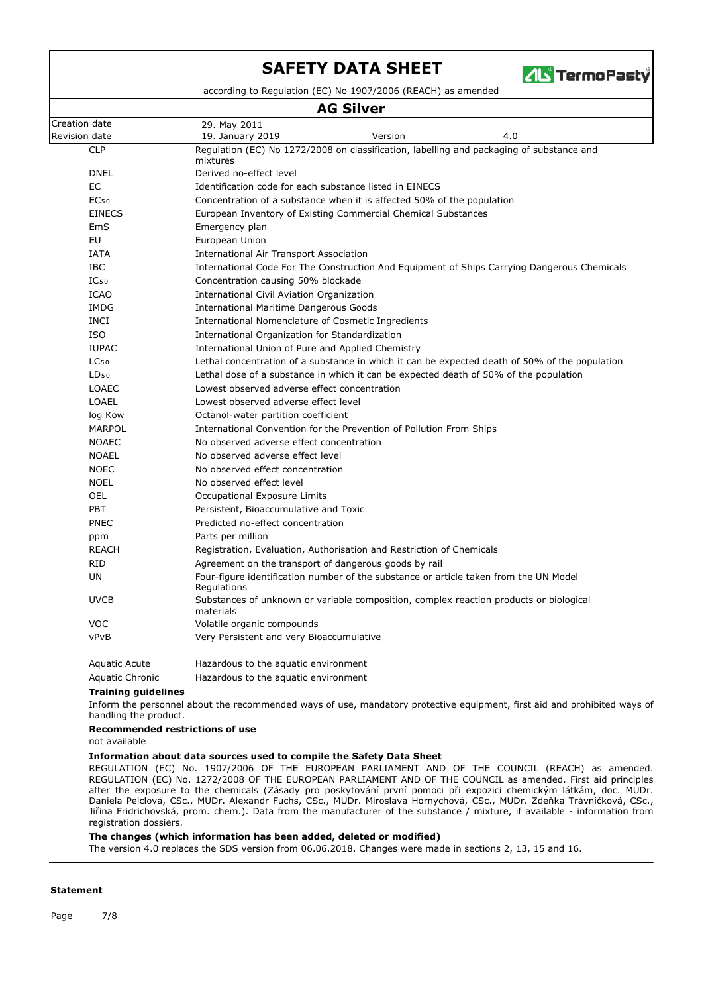

dation (EC) No 1907/2006 (REACH)

| <b>AG Silver</b> |                                                                                                      |         |                                                                                             |  |  |  |
|------------------|------------------------------------------------------------------------------------------------------|---------|---------------------------------------------------------------------------------------------|--|--|--|
| Creation date    | 29. May 2011                                                                                         |         |                                                                                             |  |  |  |
| Revision date    | 19. January 2019                                                                                     | Version | 4.0                                                                                         |  |  |  |
| <b>CLP</b>       | mixtures                                                                                             |         | Regulation (EC) No 1272/2008 on classification, labelling and packaging of substance and    |  |  |  |
| <b>DNEL</b>      | Derived no-effect level                                                                              |         |                                                                                             |  |  |  |
| <b>EC</b>        | Identification code for each substance listed in EINECS                                              |         |                                                                                             |  |  |  |
| EC <sub>50</sub> | Concentration of a substance when it is affected 50% of the population                               |         |                                                                                             |  |  |  |
| <b>EINECS</b>    | European Inventory of Existing Commercial Chemical Substances                                        |         |                                                                                             |  |  |  |
| EmS              | Emergency plan                                                                                       |         |                                                                                             |  |  |  |
| EU               | European Union                                                                                       |         |                                                                                             |  |  |  |
| <b>IATA</b>      | International Air Transport Association                                                              |         |                                                                                             |  |  |  |
| <b>IBC</b>       |                                                                                                      |         | International Code For The Construction And Equipment of Ships Carrying Dangerous Chemicals |  |  |  |
| IC <sub>50</sub> | Concentration causing 50% blockade                                                                   |         |                                                                                             |  |  |  |
| <b>ICAO</b>      | International Civil Aviation Organization                                                            |         |                                                                                             |  |  |  |
| <b>IMDG</b>      | <b>International Maritime Dangerous Goods</b>                                                        |         |                                                                                             |  |  |  |
| <b>INCI</b>      | International Nomenclature of Cosmetic Ingredients                                                   |         |                                                                                             |  |  |  |
| <b>ISO</b>       | International Organization for Standardization                                                       |         |                                                                                             |  |  |  |
| <b>IUPAC</b>     | International Union of Pure and Applied Chemistry                                                    |         |                                                                                             |  |  |  |
| LC <sub>50</sub> | Lethal concentration of a substance in which it can be expected death of 50% of the population       |         |                                                                                             |  |  |  |
| LD <sub>50</sub> | Lethal dose of a substance in which it can be expected death of 50% of the population                |         |                                                                                             |  |  |  |
| <b>LOAEC</b>     | Lowest observed adverse effect concentration                                                         |         |                                                                                             |  |  |  |
| LOAEL            | Lowest observed adverse effect level                                                                 |         |                                                                                             |  |  |  |
| log Kow          | Octanol-water partition coefficient                                                                  |         |                                                                                             |  |  |  |
| <b>MARPOL</b>    | International Convention for the Prevention of Pollution From Ships                                  |         |                                                                                             |  |  |  |
| <b>NOAEC</b>     | No observed adverse effect concentration                                                             |         |                                                                                             |  |  |  |
| <b>NOAEL</b>     | No observed adverse effect level                                                                     |         |                                                                                             |  |  |  |
| <b>NOEC</b>      | No observed effect concentration                                                                     |         |                                                                                             |  |  |  |
| <b>NOEL</b>      | No observed effect level                                                                             |         |                                                                                             |  |  |  |
| <b>OEL</b>       | Occupational Exposure Limits                                                                         |         |                                                                                             |  |  |  |
| PBT              | Persistent, Bioaccumulative and Toxic                                                                |         |                                                                                             |  |  |  |
| <b>PNEC</b>      | Predicted no-effect concentration                                                                    |         |                                                                                             |  |  |  |
| ppm              | Parts per million                                                                                    |         |                                                                                             |  |  |  |
| <b>REACH</b>     | Registration, Evaluation, Authorisation and Restriction of Chemicals                                 |         |                                                                                             |  |  |  |
| <b>RID</b>       | Agreement on the transport of dangerous goods by rail                                                |         |                                                                                             |  |  |  |
| UN               | Four-figure identification number of the substance or article taken from the UN Model<br>Regulations |         |                                                                                             |  |  |  |
| <b>UVCB</b>      | materials                                                                                            |         | Substances of unknown or variable composition, complex reaction products or biological      |  |  |  |
| <b>VOC</b>       | Volatile organic compounds                                                                           |         |                                                                                             |  |  |  |
| vPvB             | Very Persistent and very Bioaccumulative                                                             |         |                                                                                             |  |  |  |
| Aquatic Acute    | Hazardous to the aguatic environment                                                                 |         |                                                                                             |  |  |  |

| .               | $1.02201$ as as to the aquational situation of $\sim$ |  |
|-----------------|-------------------------------------------------------|--|
| Aquatic Chronic | Hazardous to the aquatic environment                  |  |

#### **Training guidelines**

Inform the personnel about the recommended ways of use, mandatory protective equipment, first aid and prohibited ways of handling the product.

### **Recommended restrictions of use**

not available

#### **Information about data sources used to compile the Safety Data Sheet**

REGULATION (EC) No. 1907/2006 OF THE EUROPEAN PARLIAMENT AND OF THE COUNCIL (REACH) as amended. REGULATION (EC) No. 1272/2008 OF THE EUROPEAN PARLIAMENT AND OF THE COUNCIL as amended. First aid principles after the exposure to the chemicals (Zásady pro poskytování první pomoci při expozici chemickým látkám, doc. MUDr. Daniela Pelclová, CSc., MUDr. Alexandr Fuchs, CSc., MUDr. Miroslava Hornychová, CSc., MUDr. Zdeňka Trávníčková, CSc., Jiřina Fridrichovská, prom. chem.). Data from the manufacturer of the substance / mixture, if available - information from registration dossiers.

#### **The changes (which information has been added, deleted or modified)**

The version 4.0 replaces the SDS version from 06.06.2018. Changes were made in sections 2, 13, 15 and 16.

#### **Statement**